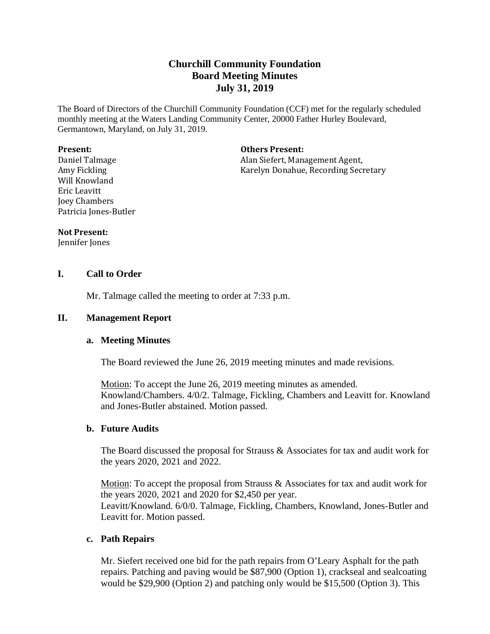# **Churchill Community Foundation Board Meeting Minutes July 31, 2019**

The Board of Directors of the Churchill Community Foundation (CCF) met for the regularly scheduled monthly meeting at the Waters Landing Community Center, 20000 Father Hurley Boulevard, Germantown, Maryland, on July 31, 2019.

#### **Present:**

Daniel Talmage Amy Fickling Will Knowland Eric Leavitt Joey Chambers Patricia Jones-Butler **Others Present:**

Alan Siefert, Management Agent, Karelyn Donahue, Recording Secretary

#### **Not Present:**

Jennifer Jones

## **I. Call to Order**

Mr. Talmage called the meeting to order at 7:33 p.m.

#### **II. Management Report**

#### **a. Meeting Minutes**

The Board reviewed the June 26, 2019 meeting minutes and made revisions.

Motion: To accept the June 26, 2019 meeting minutes as amended. Knowland/Chambers. 4/0/2. Talmage, Fickling, Chambers and Leavitt for. Knowland and Jones-Butler abstained. Motion passed.

## **b. Future Audits**

The Board discussed the proposal for Strauss  $\&$  Associates for tax and audit work for the years 2020, 2021 and 2022.

Motion: To accept the proposal from Strauss & Associates for tax and audit work for the years 2020, 2021 and 2020 for \$2,450 per year. Leavitt/Knowland. 6/0/0. Talmage, Fickling, Chambers, Knowland, Jones-Butler and Leavitt for. Motion passed.

## **c. Path Repairs**

Mr. Siefert received one bid for the path repairs from O'Leary Asphalt for the path repairs. Patching and paving would be \$87,900 (Option 1), crackseal and sealcoating would be \$29,900 (Option 2) and patching only would be \$15,500 (Option 3). This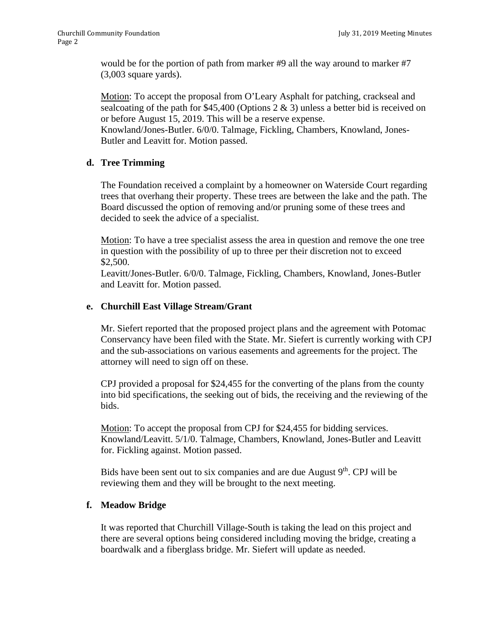would be for the portion of path from marker #9 all the way around to marker #7 (3,003 square yards).

Motion: To accept the proposal from O'Leary Asphalt for patching, crackseal and sealcoating of the path for \$45,400 (Options 2  $\&$  3) unless a better bid is received on or before August 15, 2019. This will be a reserve expense.

Knowland/Jones-Butler. 6/0/0. Talmage, Fickling, Chambers, Knowland, Jones-Butler and Leavitt for. Motion passed.

# **d. Tree Trimming**

The Foundation received a complaint by a homeowner on Waterside Court regarding trees that overhang their property. These trees are between the lake and the path. The Board discussed the option of removing and/or pruning some of these trees and decided to seek the advice of a specialist.

Motion: To have a tree specialist assess the area in question and remove the one tree in question with the possibility of up to three per their discretion not to exceed \$2,500.

Leavitt/Jones-Butler. 6/0/0. Talmage, Fickling, Chambers, Knowland, Jones-Butler and Leavitt for. Motion passed.

# **e. Churchill East Village Stream/Grant**

Mr. Siefert reported that the proposed project plans and the agreement with Potomac Conservancy have been filed with the State. Mr. Siefert is currently working with CPJ and the sub-associations on various easements and agreements for the project. The attorney will need to sign off on these.

CPJ provided a proposal for \$24,455 for the converting of the plans from the county into bid specifications, the seeking out of bids, the receiving and the reviewing of the bids.

Motion: To accept the proposal from CPJ for \$24,455 for bidding services. Knowland/Leavitt. 5/1/0. Talmage, Chambers, Knowland, Jones-Butler and Leavitt for. Fickling against. Motion passed.

Bids have been sent out to six companies and are due August  $9<sup>th</sup>$ . CPJ will be reviewing them and they will be brought to the next meeting.

# **f. Meadow Bridge**

It was reported that Churchill Village-South is taking the lead on this project and there are several options being considered including moving the bridge, creating a boardwalk and a fiberglass bridge. Mr. Siefert will update as needed.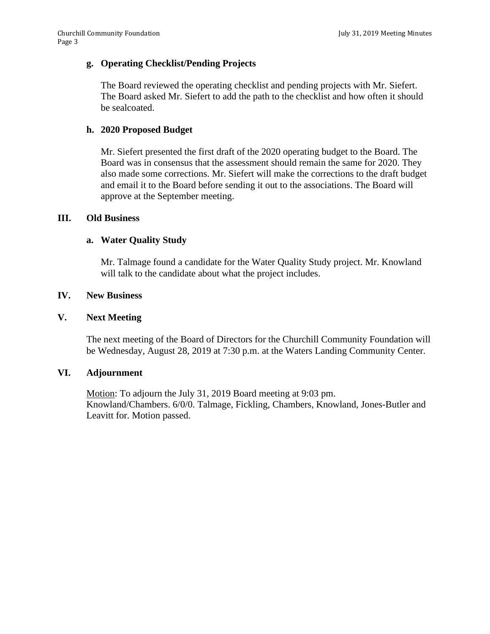## **g. Operating Checklist/Pending Projects**

The Board reviewed the operating checklist and pending projects with Mr. Siefert. The Board asked Mr. Siefert to add the path to the checklist and how often it should be sealcoated.

## **h. 2020 Proposed Budget**

Mr. Siefert presented the first draft of the 2020 operating budget to the Board. The Board was in consensus that the assessment should remain the same for 2020. They also made some corrections. Mr. Siefert will make the corrections to the draft budget and email it to the Board before sending it out to the associations. The Board will approve at the September meeting.

## **III. Old Business**

## **a. Water Quality Study**

Mr. Talmage found a candidate for the Water Quality Study project. Mr. Knowland will talk to the candidate about what the project includes.

## **IV. New Business**

## **V. Next Meeting**

The next meeting of the Board of Directors for the Churchill Community Foundation will be Wednesday, August 28, 2019 at 7:30 p.m. at the Waters Landing Community Center.

## **VI. Adjournment**

Motion: To adjourn the July 31, 2019 Board meeting at 9:03 pm. Knowland/Chambers. 6/0/0. Talmage, Fickling, Chambers, Knowland, Jones-Butler and Leavitt for. Motion passed.